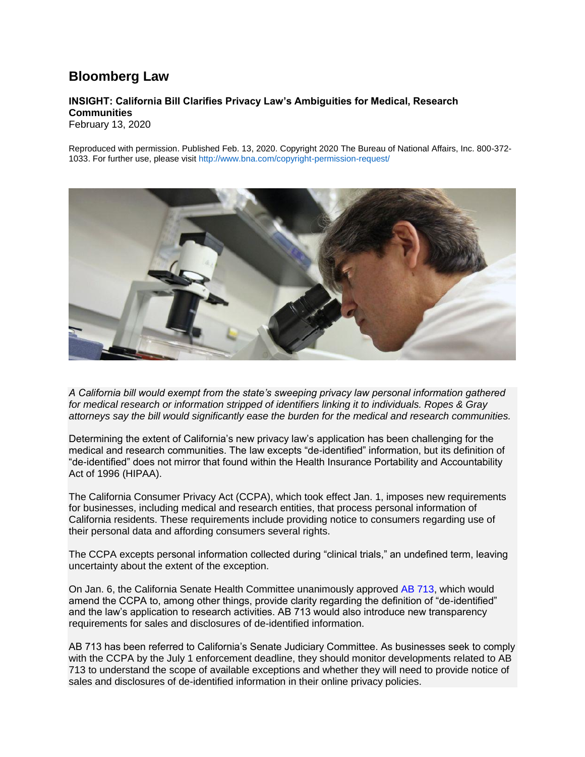## **Bloomberg Law**

## **INSIGHT: California Bill Clarifies Privacy Law's Ambiguities for Medical, Research Communities**

February 13, 2020

Reproduced with permission. Published Feb. 13, 2020. Copyright 2020 The Bureau of National Affairs, Inc. 800-372- 1033. For further use, please visit <http://www.bna.com/copyright-permission-request/>



*A California bill would exempt from the state's sweeping privacy law personal information gathered for medical research or information stripped of identifiers linking it to individuals. Ropes & Gray attorneys say the bill would significantly ease the burden for the medical and research communities.*

Determining the extent of California's new privacy law's application has been challenging for the medical and research communities. The law excepts "de-identified" information, but its definition of "de-identified" does not mirror that found within the Health Insurance Portability and Accountability Act of 1996 (HIPAA).

The California Consumer Privacy Act (CCPA), which took effect Jan. 1, imposes new requirements for businesses, including medical and research entities, that process personal information of California residents. These requirements include providing notice to consumers regarding use of their personal data and affording consumers several rights.

The CCPA excepts personal information collected during "clinical trials," an undefined term, leaving uncertainty about the extent of the exception.

On Jan. 6, the California Senate Health Committee unanimously approved [AB 713,](https://leginfo.legislature.ca.gov/faces/billTextClient.xhtml?bill_id=201920200AB713) which would amend the CCPA to, among other things, provide clarity regarding the definition of "de-identified" and the law's application to research activities. AB 713 would also introduce new transparency requirements for sales and disclosures of de-identified information.

AB 713 has been referred to California's Senate Judiciary Committee. As businesses seek to comply with the CCPA by the July 1 enforcement deadline, they should monitor developments related to AB 713 to understand the scope of available exceptions and whether they will need to provide notice of sales and disclosures of de-identified information in their online privacy policies.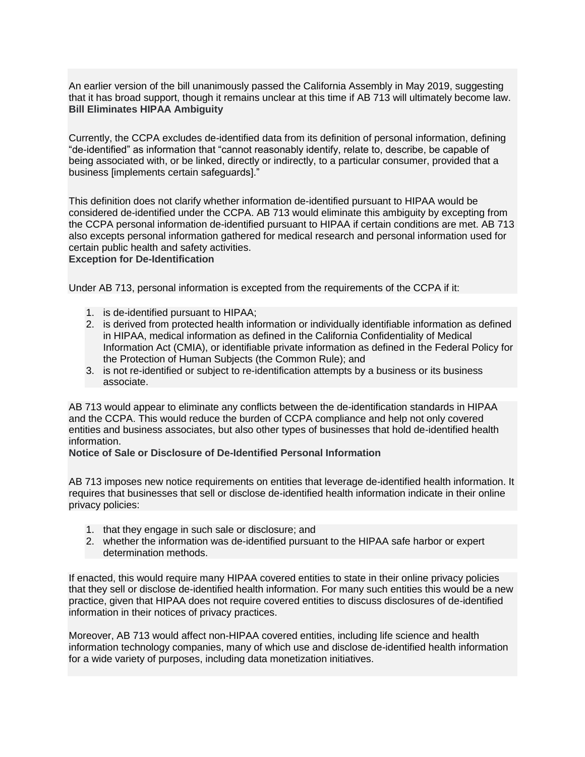An earlier version of the bill unanimously passed the California Assembly in May 2019, suggesting that it has broad support, though it remains unclear at this time if AB 713 will ultimately become law. **Bill Eliminates HIPAA Ambiguity**

Currently, the CCPA excludes de-identified data from its definition of personal information, defining "de-identified" as information that "cannot reasonably identify, relate to, describe, be capable of being associated with, or be linked, directly or indirectly, to a particular consumer, provided that a business [implements certain safeguards]."

This definition does not clarify whether information de-identified pursuant to HIPAA would be considered de-identified under the CCPA. AB 713 would eliminate this ambiguity by excepting from the CCPA personal information de-identified pursuant to HIPAA if certain conditions are met. AB 713 also excepts personal information gathered for medical research and personal information used for certain public health and safety activities.

## **Exception for De-Identification**

Under AB 713, personal information is excepted from the requirements of the CCPA if it:

- 1. is de-identified pursuant to HIPAA;
- 2. is derived from protected health information or individually identifiable information as defined in HIPAA, medical information as defined in the California Confidentiality of Medical Information Act (CMIA), or identifiable private information as defined in the Federal Policy for the Protection of Human Subjects (the Common Rule); and
- 3. is not re-identified or subject to re-identification attempts by a business or its business associate.

AB 713 would appear to eliminate any conflicts between the de-identification standards in HIPAA and the CCPA. This would reduce the burden of CCPA compliance and help not only covered entities and business associates, but also other types of businesses that hold de-identified health information.

**Notice of Sale or Disclosure of De-Identified Personal Information** 

AB 713 imposes new notice requirements on entities that leverage de-identified health information. It requires that businesses that sell or disclose de-identified health information indicate in their online privacy policies:

- 1. that they engage in such sale or disclosure; and
- 2. whether the information was de-identified pursuant to the HIPAA safe harbor or expert determination methods.

If enacted, this would require many HIPAA covered entities to state in their online privacy policies that they sell or disclose de-identified health information. For many such entities this would be a new practice, given that HIPAA does not require covered entities to discuss disclosures of de-identified information in their notices of privacy practices.

Moreover, AB 713 would affect non-HIPAA covered entities, including life science and health information technology companies, many of which use and disclose de-identified health information for a wide variety of purposes, including data monetization initiatives.